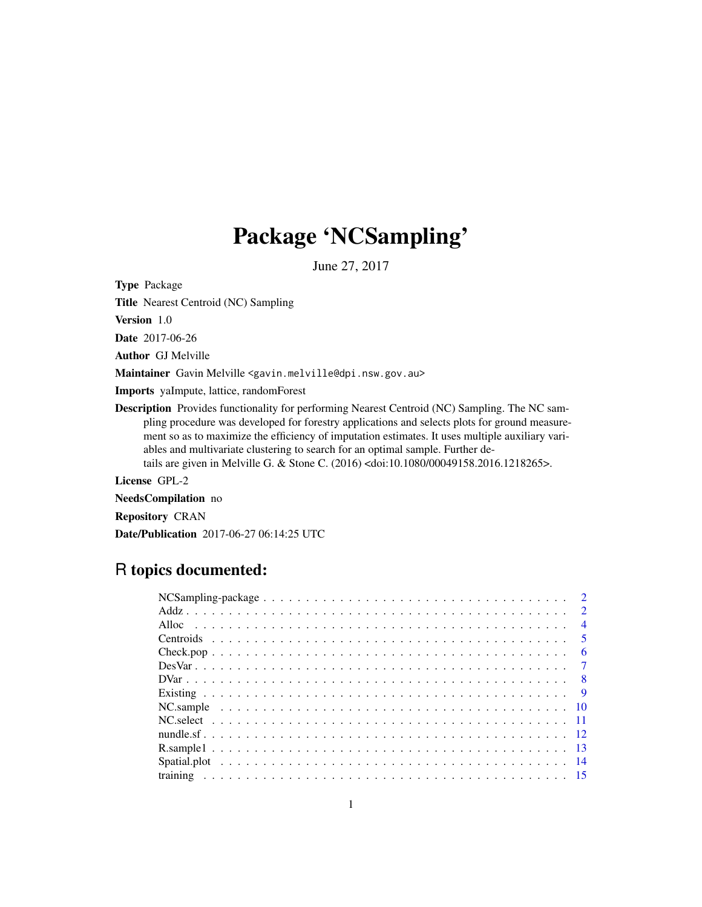# Package 'NCSampling'

June 27, 2017

Type Package

Title Nearest Centroid (NC) Sampling

Version 1.0

Date 2017-06-26

Author GJ Melville

Maintainer Gavin Melville <gavin.melville@dpi.nsw.gov.au>

Imports yaImpute, lattice, randomForest

Description Provides functionality for performing Nearest Centroid (NC) Sampling. The NC sampling procedure was developed for forestry applications and selects plots for ground measurement so as to maximize the efficiency of imputation estimates. It uses multiple auxiliary variables and multivariate clustering to search for an optimal sample. Further details are given in Melville G. & Stone C. (2016) <doi:10.1080/00049158.2016.1218265>.

License GPL-2

NeedsCompilation no

Repository CRAN

Date/Publication 2017-06-27 06:14:25 UTC

# R topics documented:

|  |  |  |  |  |  |  |  |  |  |  |  |  |  |  |  | $\overline{2}$ |
|--|--|--|--|--|--|--|--|--|--|--|--|--|--|--|--|----------------|
|  |  |  |  |  |  |  |  |  |  |  |  |  |  |  |  |                |
|  |  |  |  |  |  |  |  |  |  |  |  |  |  |  |  | $\overline{4}$ |
|  |  |  |  |  |  |  |  |  |  |  |  |  |  |  |  | $\sqrt{5}$     |
|  |  |  |  |  |  |  |  |  |  |  |  |  |  |  |  | - 6            |
|  |  |  |  |  |  |  |  |  |  |  |  |  |  |  |  |                |
|  |  |  |  |  |  |  |  |  |  |  |  |  |  |  |  |                |
|  |  |  |  |  |  |  |  |  |  |  |  |  |  |  |  |                |
|  |  |  |  |  |  |  |  |  |  |  |  |  |  |  |  |                |
|  |  |  |  |  |  |  |  |  |  |  |  |  |  |  |  |                |
|  |  |  |  |  |  |  |  |  |  |  |  |  |  |  |  |                |
|  |  |  |  |  |  |  |  |  |  |  |  |  |  |  |  |                |
|  |  |  |  |  |  |  |  |  |  |  |  |  |  |  |  |                |
|  |  |  |  |  |  |  |  |  |  |  |  |  |  |  |  |                |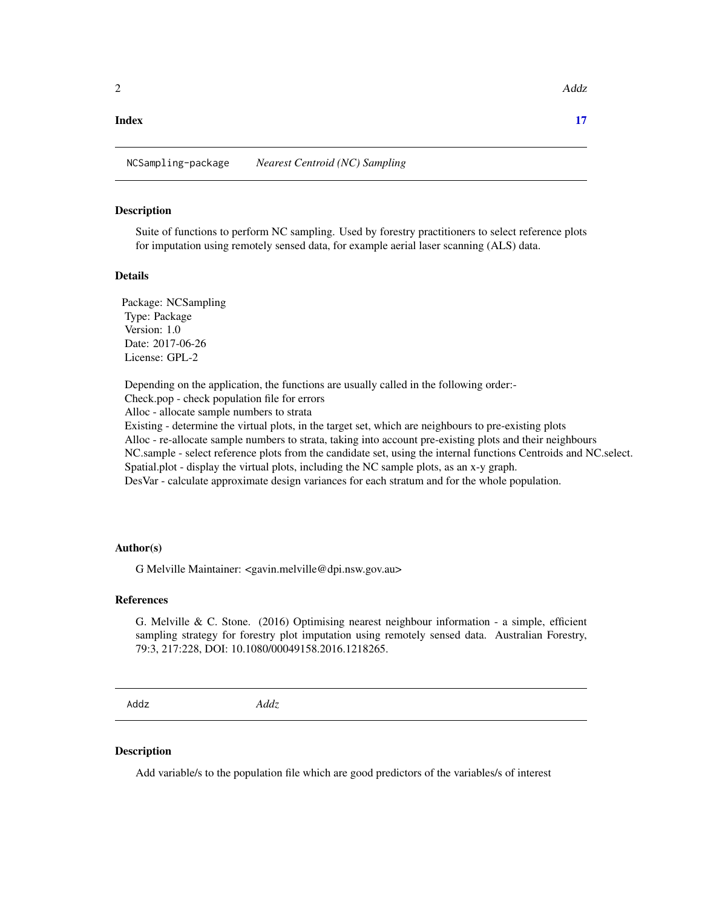#### <span id="page-1-0"></span>**Index** [17](#page-16-0)

NCSampling-package *Nearest Centroid (NC) Sampling*

#### Description

Suite of functions to perform NC sampling. Used by forestry practitioners to select reference plots for imputation using remotely sensed data, for example aerial laser scanning (ALS) data.

#### Details

Package: NCSampling Type: Package Version: 1.0 Date: 2017-06-26 License: GPL-2

Depending on the application, the functions are usually called in the following order:- Check.pop - check population file for errors Alloc - allocate sample numbers to strata Existing - determine the virtual plots, in the target set, which are neighbours to pre-existing plots Alloc - re-allocate sample numbers to strata, taking into account pre-existing plots and their neighbours NC.sample - select reference plots from the candidate set, using the internal functions Centroids and NC.select. Spatial.plot - display the virtual plots, including the NC sample plots, as an x-y graph. DesVar - calculate approximate design variances for each stratum and for the whole population.

# Author(s)

G Melville Maintainer: <gavin.melville@dpi.nsw.gov.au>

#### References

G. Melville & C. Stone. (2016) Optimising nearest neighbour information - a simple, efficient sampling strategy for forestry plot imputation using remotely sensed data. Australian Forestry, 79:3, 217:228, DOI: 10.1080/00049158.2016.1218265.

Addz *Addz*

#### Description

Add variable/s to the population file which are good predictors of the variables/s of interest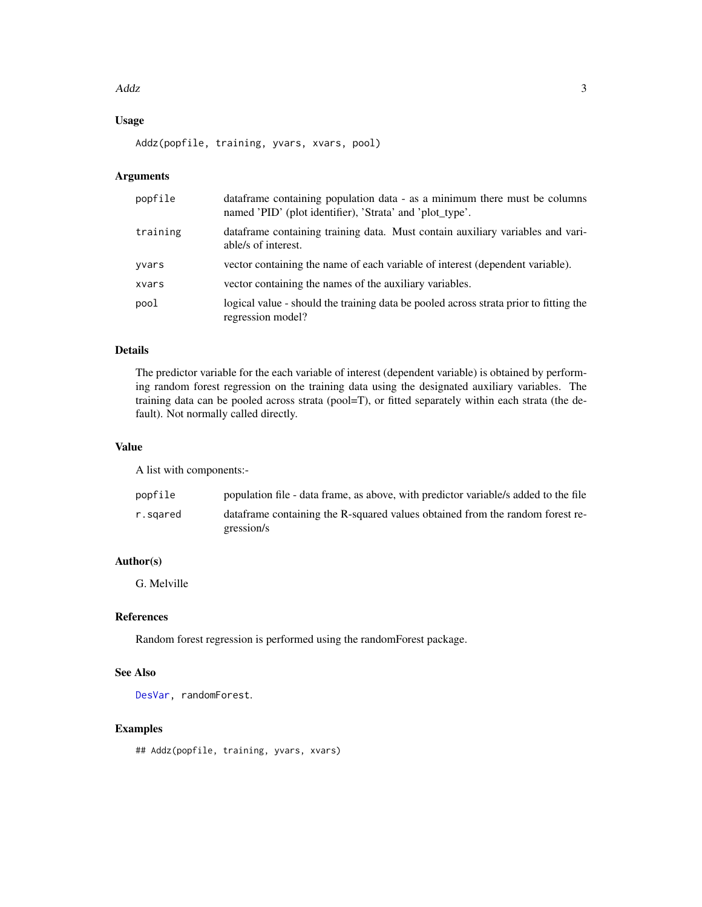#### <span id="page-2-0"></span> $\angle$ Addz  $\angle$  3

# Usage

Addz(popfile, training, yvars, xvars, pool)

# Arguments

| dataframe containing population data - as a minimum there must be columns<br>named 'PID' (plot identifier), 'Strata' and 'plot_type'. |
|---------------------------------------------------------------------------------------------------------------------------------------|
| data frame containing training data. Must contain auxiliary variables and vari-<br>able/s of interest.                                |
| vector containing the name of each variable of interest (dependent variable).                                                         |
| vector containing the names of the auxiliary variables.                                                                               |
| logical value - should the training data be pooled across strata prior to fitting the<br>regression model?                            |
|                                                                                                                                       |

# Details

The predictor variable for the each variable of interest (dependent variable) is obtained by performing random forest regression on the training data using the designated auxiliary variables. The training data can be pooled across strata (pool=T), or fitted separately within each strata (the default). Not normally called directly.

# Value

A list with components:-

| popfile  | population file - data frame, as above, with predictor variable/s added to the file          |
|----------|----------------------------------------------------------------------------------------------|
| r.sɑared | data frame containing the R-squared values obtained from the random forest re-<br>gression/s |

# Author(s)

G. Melville

# References

Random forest regression is performed using the randomForest package.

# See Also

```
DesVar, randomForest.
```
### Examples

## Addz(popfile, training, yvars, xvars)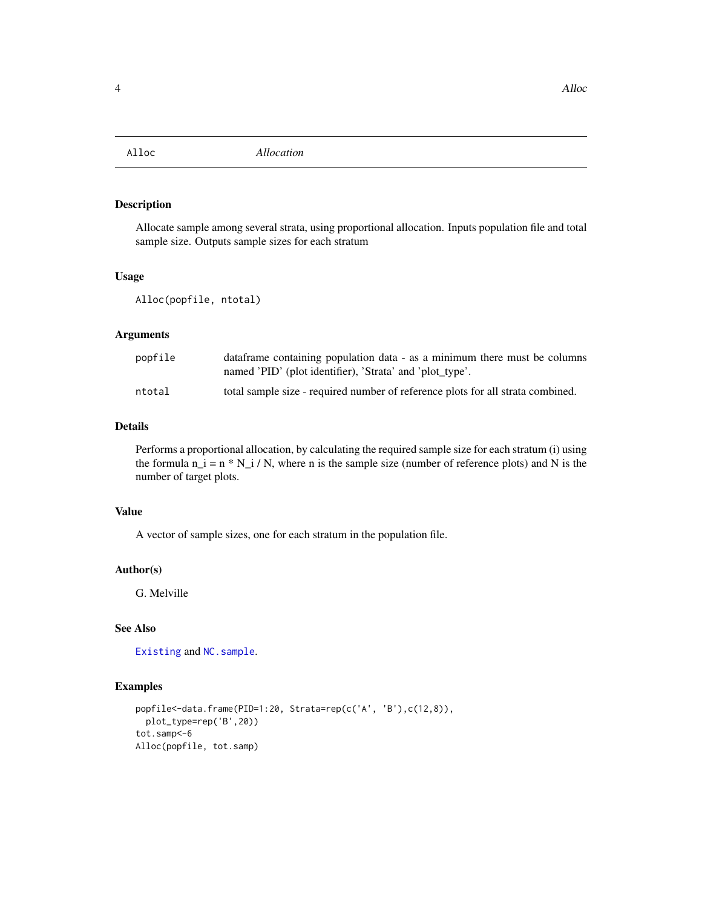<span id="page-3-0"></span>

Allocate sample among several strata, using proportional allocation. Inputs population file and total sample size. Outputs sample sizes for each stratum

# Usage

Alloc(popfile, ntotal)

# Arguments

| popfile | data frame containing population data - as a minimum there must be columns<br>named 'PID' (plot identifier), 'Strata' and 'plot type'. |
|---------|----------------------------------------------------------------------------------------------------------------------------------------|
| ntotal  | total sample size - required number of reference plots for all strata combined.                                                        |

#### Details

Performs a proportional allocation, by calculating the required sample size for each stratum (i) using the formula  $n_i = n * N_i / N$ , where n is the sample size (number of reference plots) and N is the number of target plots.

# Value

A vector of sample sizes, one for each stratum in the population file.

# Author(s)

G. Melville

#### See Also

[Existing](#page-8-1) and [NC.sample](#page-9-1).

# Examples

```
popfile<-data.frame(PID=1:20, Strata=rep(c('A', 'B'),c(12,8)),
  plot_type=rep('B',20))
tot.samp<-6
Alloc(popfile, tot.samp)
```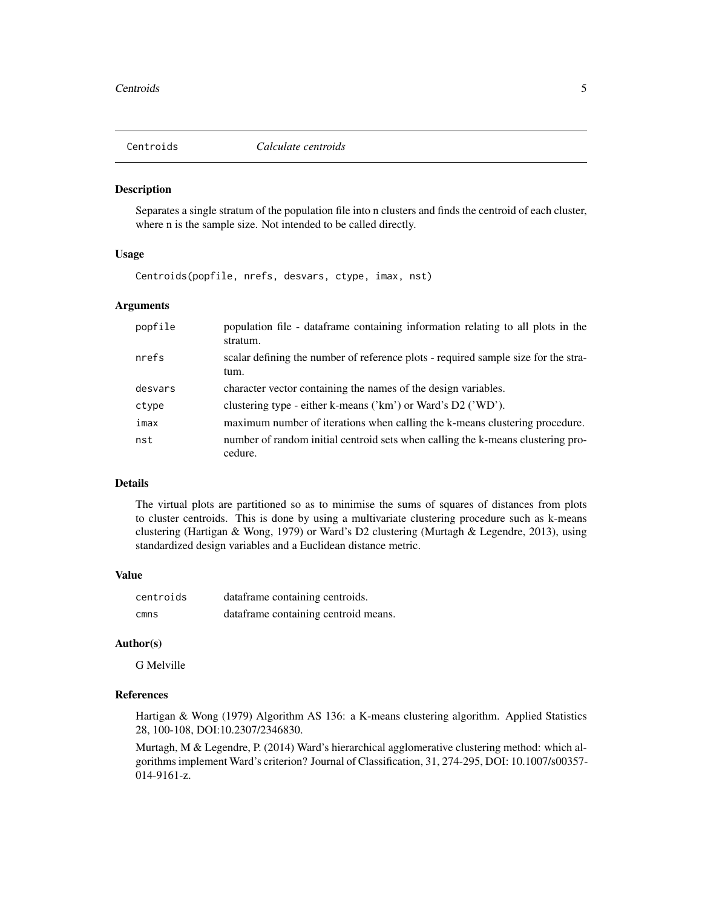<span id="page-4-0"></span>

Separates a single stratum of the population file into n clusters and finds the centroid of each cluster, where n is the sample size. Not intended to be called directly.

#### Usage

Centroids(popfile, nrefs, desvars, ctype, imax, nst)

### Arguments

| popfile | population file - dataframe containing information relating to all plots in the<br>stratum. |
|---------|---------------------------------------------------------------------------------------------|
| nrefs   | scalar defining the number of reference plots - required sample size for the stra-<br>tum.  |
| desvars | character vector containing the names of the design variables.                              |
| ctype   | clustering type - either k-means ('km') or Ward's D2 ('WD').                                |
| imax    | maximum number of iterations when calling the k-means clustering procedure.                 |
| nst     | number of random initial centroid sets when calling the k-means clustering pro-<br>cedure.  |

# Details

The virtual plots are partitioned so as to minimise the sums of squares of distances from plots to cluster centroids. This is done by using a multivariate clustering procedure such as k-means clustering (Hartigan & Wong, 1979) or Ward's D2 clustering (Murtagh & Legendre, 2013), using standardized design variables and a Euclidean distance metric.

### Value

| centroids | dataframe containing centroids.      |
|-----------|--------------------------------------|
| cmns      | dataframe containing centroid means. |

#### Author(s)

G Melville

#### References

Hartigan & Wong (1979) Algorithm AS 136: a K-means clustering algorithm. Applied Statistics 28, 100-108, DOI:10.2307/2346830.

Murtagh, M & Legendre, P. (2014) Ward's hierarchical agglomerative clustering method: which algorithms implement Ward's criterion? Journal of Classification, 31, 274-295, DOI: 10.1007/s00357- 014-9161-z.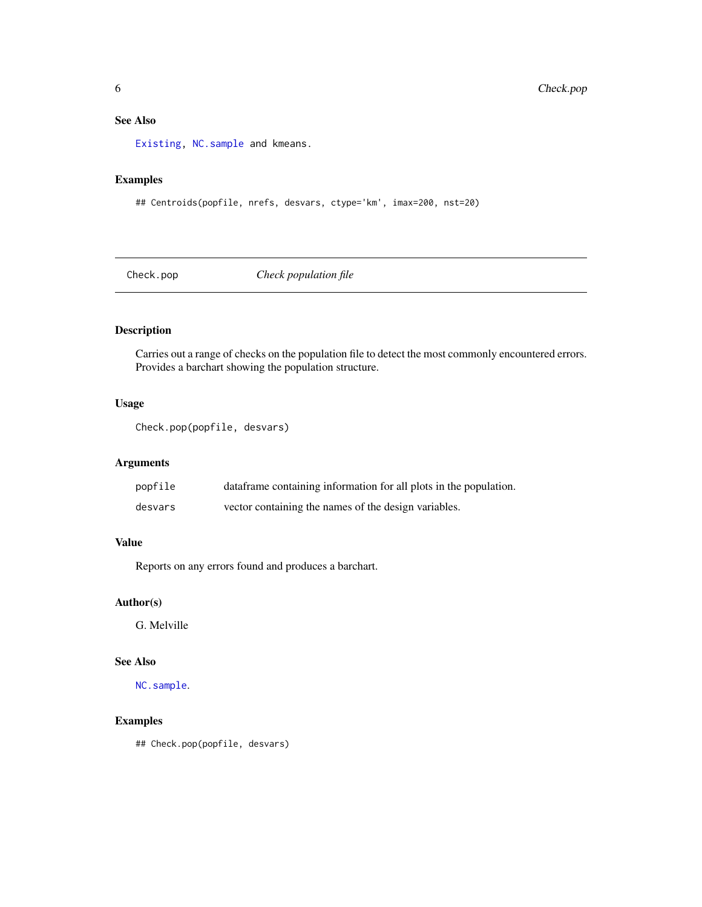# <span id="page-5-0"></span>See Also

[Existing,](#page-8-1) [NC.sample](#page-9-1) and kmeans.

# Examples

## Centroids(popfile, nrefs, desvars, ctype='km', imax=200, nst=20)

Check.pop *Check population file*

# Description

Carries out a range of checks on the population file to detect the most commonly encountered errors. Provides a barchart showing the population structure.

# Usage

```
Check.pop(popfile, desvars)
```
# Arguments

| popfile | data frame containing information for all plots in the population. |
|---------|--------------------------------------------------------------------|
| desvars | vector containing the names of the design variables.               |

# Value

Reports on any errors found and produces a barchart.

# Author(s)

G. Melville

# See Also

[NC.sample](#page-9-1).

# Examples

## Check.pop(popfile, desvars)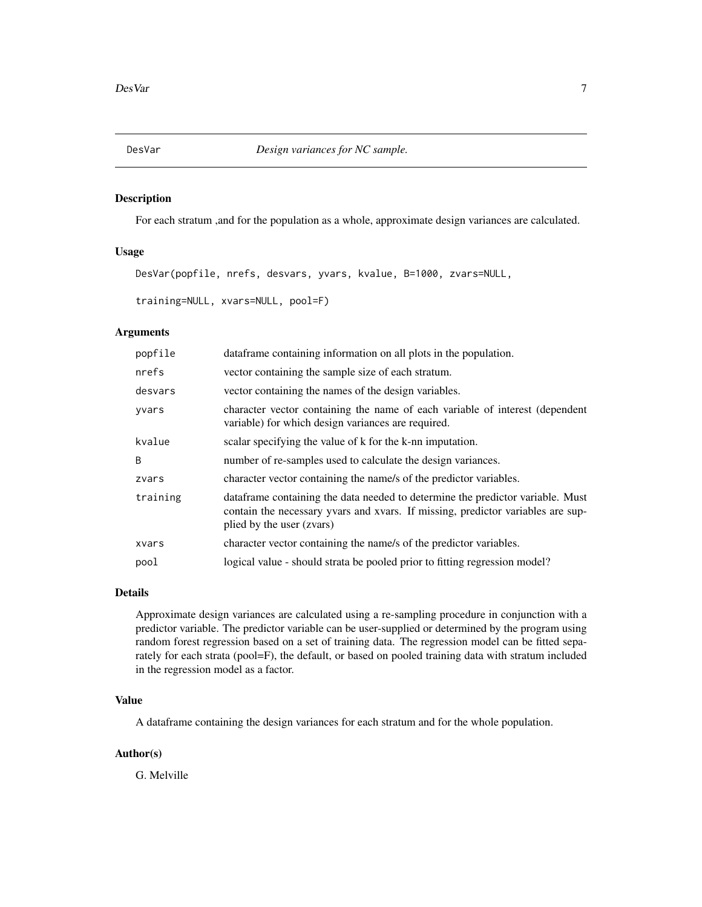<span id="page-6-1"></span><span id="page-6-0"></span>

For each stratum ,and for the population as a whole, approximate design variances are calculated.

# Usage

DesVar(popfile, nrefs, desvars, yvars, kvalue, B=1000, zvars=NULL,

training=NULL, xvars=NULL, pool=F)

# Arguments

| popfile  | dataframe containing information on all plots in the population.                                                                                                                                |
|----------|-------------------------------------------------------------------------------------------------------------------------------------------------------------------------------------------------|
| nrefs    | vector containing the sample size of each stratum.                                                                                                                                              |
| desvars  | vector containing the names of the design variables.                                                                                                                                            |
| yvars    | character vector containing the name of each variable of interest (dependent<br>variable) for which design variances are required.                                                              |
| kvalue   | scalar specifying the value of k for the k-nn imputation.                                                                                                                                       |
| B        | number of re-samples used to calculate the design variances.                                                                                                                                    |
| zvars    | character vector containing the name/s of the predictor variables.                                                                                                                              |
| training | data frame containing the data needed to determine the predictor variable. Must<br>contain the necessary yvars and xvars. If missing, predictor variables are sup-<br>plied by the user (zvars) |
| xvars    | character vector containing the name/s of the predictor variables.                                                                                                                              |
| pool     | logical value - should strata be pooled prior to fitting regression model?                                                                                                                      |
|          |                                                                                                                                                                                                 |

### Details

Approximate design variances are calculated using a re-sampling procedure in conjunction with a predictor variable. The predictor variable can be user-supplied or determined by the program using random forest regression based on a set of training data. The regression model can be fitted separately for each strata (pool=F), the default, or based on pooled training data with stratum included in the regression model as a factor.

# Value

A dataframe containing the design variances for each stratum and for the whole population.

# Author(s)

G. Melville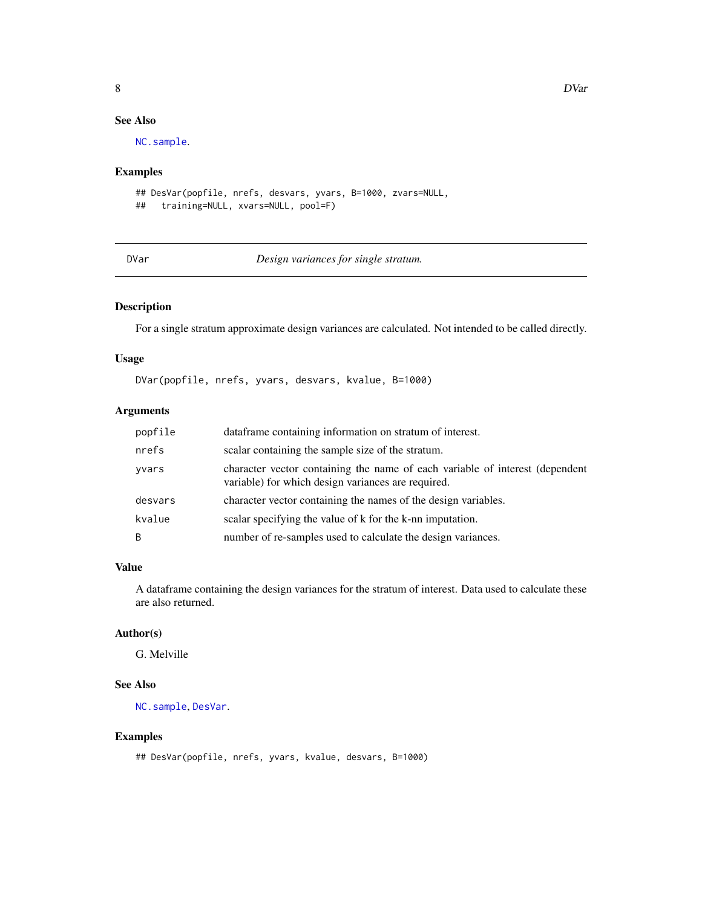# See Also

[NC.sample](#page-9-1).

# Examples

```
## DesVar(popfile, nrefs, desvars, yvars, B=1000, zvars=NULL,
## training=NULL, xvars=NULL, pool=F)
```
### DVar *Design variances for single stratum.*

# Description

For a single stratum approximate design variances are calculated. Not intended to be called directly.

# Usage

DVar(popfile, nrefs, yvars, desvars, kvalue, B=1000)

# Arguments

| popfile | dataframe containing information on stratum of interest.                                                                           |
|---------|------------------------------------------------------------------------------------------------------------------------------------|
| nrefs   | scalar containing the sample size of the stratum.                                                                                  |
| yvars   | character vector containing the name of each variable of interest (dependent<br>variable) for which design variances are required. |
| desvars | character vector containing the names of the design variables.                                                                     |
| kvalue  | scalar specifying the value of k for the k-nn imputation.                                                                          |
| B       | number of re-samples used to calculate the design variances.                                                                       |

# Value

A dataframe containing the design variances for the stratum of interest. Data used to calculate these are also returned.

# Author(s)

G. Melville

# See Also

[NC.sample](#page-9-1), [DesVar](#page-6-1).

# Examples

```
## DesVar(popfile, nrefs, yvars, kvalue, desvars, B=1000)
```
<span id="page-7-0"></span>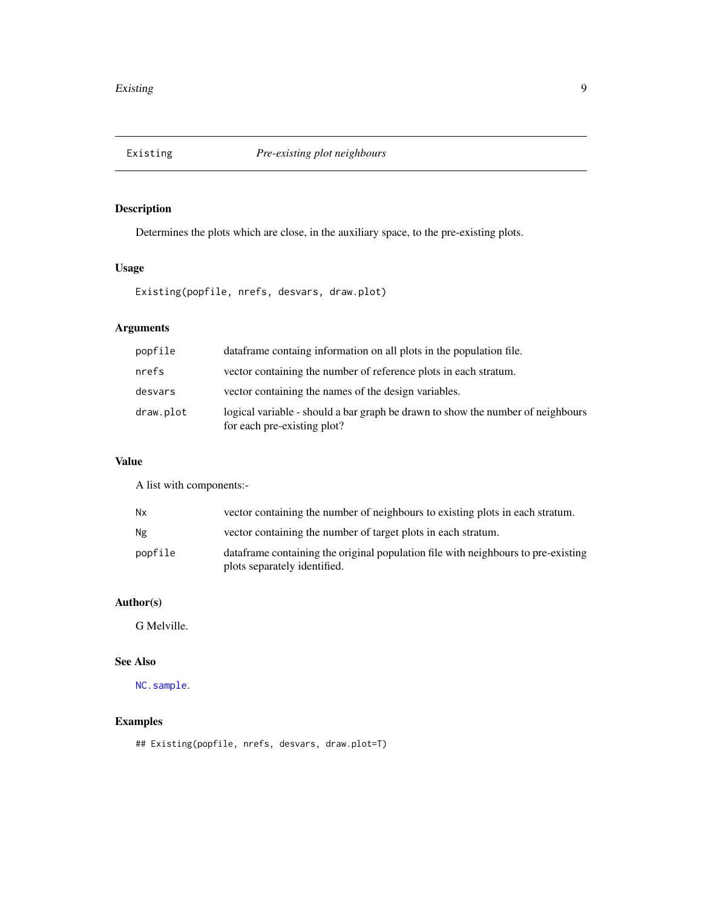<span id="page-8-1"></span><span id="page-8-0"></span>

Determines the plots which are close, in the auxiliary space, to the pre-existing plots.

# Usage

Existing(popfile, nrefs, desvars, draw.plot)

# Arguments

| popfile   | dataframe containg information on all plots in the population file.                                            |
|-----------|----------------------------------------------------------------------------------------------------------------|
| nrefs     | vector containing the number of reference plots in each stratum.                                               |
| desvars   | vector containing the names of the design variables.                                                           |
| draw.plot | logical variable - should a bar graph be drawn to show the number of neighbours<br>for each pre-existing plot? |

# Value

A list with components:-

| <b>Nx</b> | vector containing the number of neighbours to existing plots in each stratum.                                      |
|-----------|--------------------------------------------------------------------------------------------------------------------|
| Ng        | vector containing the number of target plots in each stratum.                                                      |
| popfile   | data frame containing the original population file with neighbours to pre-existing<br>plots separately identified. |

# Author(s)

G Melville.

# See Also

[NC.sample](#page-9-1).

# Examples

## Existing(popfile, nrefs, desvars, draw.plot=T)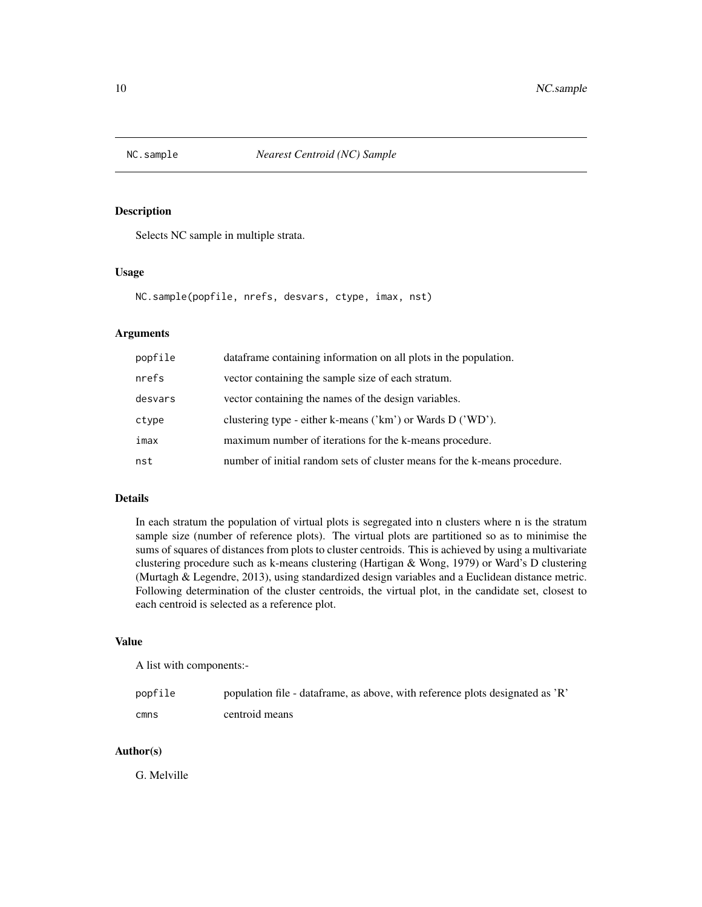<span id="page-9-1"></span><span id="page-9-0"></span>

Selects NC sample in multiple strata.

# Usage

```
NC.sample(popfile, nrefs, desvars, ctype, imax, nst)
```
# Arguments

| popfile | dataframe containing information on all plots in the population.          |
|---------|---------------------------------------------------------------------------|
| nrefs   | vector containing the sample size of each stratum.                        |
| desvars | vector containing the names of the design variables.                      |
| ctype   | clustering type - either k-means $('km')$ or Wards D $('WD')$ .           |
| imax    | maximum number of iterations for the k-means procedure.                   |
| nst     | number of initial random sets of cluster means for the k-means procedure. |

# Details

In each stratum the population of virtual plots is segregated into n clusters where n is the stratum sample size (number of reference plots). The virtual plots are partitioned so as to minimise the sums of squares of distances from plots to cluster centroids. This is achieved by using a multivariate clustering procedure such as k-means clustering (Hartigan & Wong, 1979) or Ward's D clustering (Murtagh & Legendre, 2013), using standardized design variables and a Euclidean distance metric. Following determination of the cluster centroids, the virtual plot, in the candidate set, closest to each centroid is selected as a reference plot.

# Value

A list with components:-

| popfile | population file - dataframe, as above, with reference plots designated as 'R' |
|---------|-------------------------------------------------------------------------------|
| cmns    | centroid means                                                                |

# Author(s)

G. Melville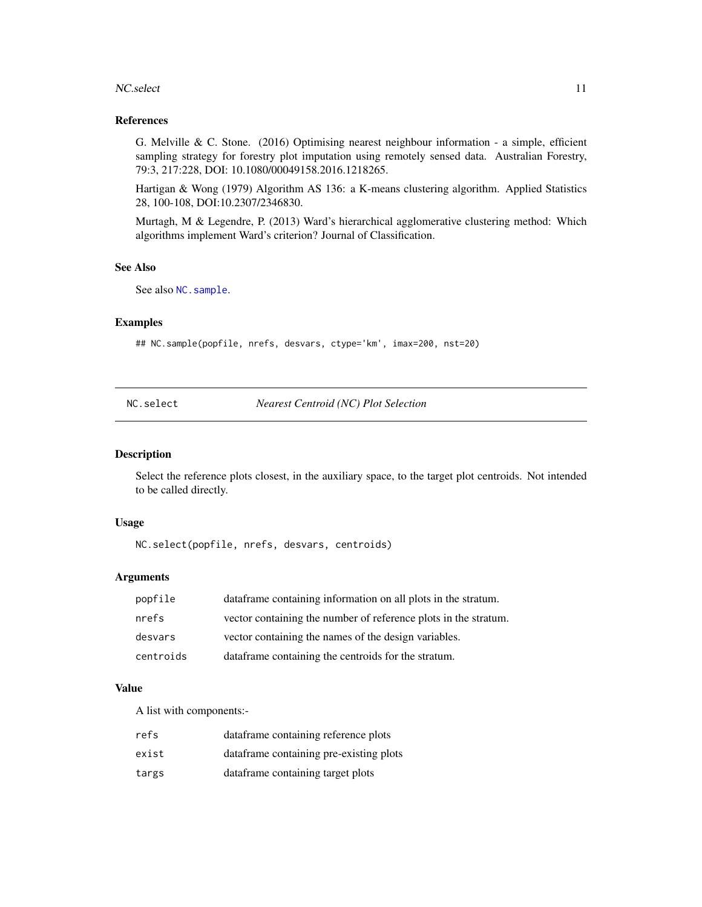#### <span id="page-10-0"></span>NC.select 11

# References

G. Melville & C. Stone. (2016) Optimising nearest neighbour information - a simple, efficient sampling strategy for forestry plot imputation using remotely sensed data. Australian Forestry, 79:3, 217:228, DOI: 10.1080/00049158.2016.1218265.

Hartigan & Wong (1979) Algorithm AS 136: a K-means clustering algorithm. Applied Statistics 28, 100-108, DOI:10.2307/2346830.

Murtagh, M & Legendre, P. (2013) Ward's hierarchical agglomerative clustering method: Which algorithms implement Ward's criterion? Journal of Classification.

#### See Also

See also NC. sample.

# Examples

## NC.sample(popfile, nrefs, desvars, ctype='km', imax=200, nst=20)

NC.select *Nearest Centroid (NC) Plot Selection*

# Description

Select the reference plots closest, in the auxiliary space, to the target plot centroids. Not intended to be called directly.

#### Usage

NC.select(popfile, nrefs, desvars, centroids)

### Arguments

| popfile   | data frame containing information on all plots in the stratum.  |
|-----------|-----------------------------------------------------------------|
| nrefs     | vector containing the number of reference plots in the stratum. |
| desvars   | vector containing the names of the design variables.            |
| centroids | dataframe containing the centroids for the stratum.             |

### Value

A list with components:-

| refs  | dataframe containing reference plots    |
|-------|-----------------------------------------|
| exist | dataframe containing pre-existing plots |
| targs | dataframe containing target plots       |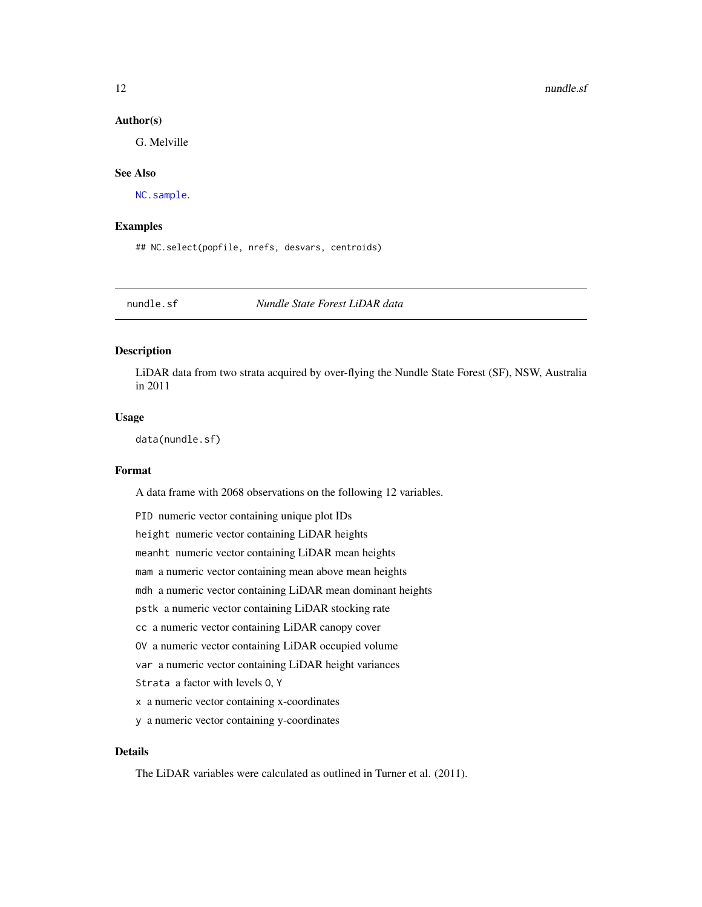# <span id="page-11-0"></span>Author(s)

G. Melville

# See Also

[NC.sample](#page-9-1).

# Examples

## NC.select(popfile, nrefs, desvars, centroids)

nundle.sf *Nundle State Forest LiDAR data*

# Description

LiDAR data from two strata acquired by over-flying the Nundle State Forest (SF), NSW, Australia in 2011

# Usage

data(nundle.sf)

# Format

A data frame with 2068 observations on the following 12 variables.

| PID numeric vector containing unique plot IDs               |
|-------------------------------------------------------------|
| height numeric vector containing LiDAR heights              |
| meanht numeric vector containing LiDAR mean heights         |
| mam a numeric vector containing mean above mean heights     |
| mdh a numeric vector containing LiDAR mean dominant heights |
| pstk a numeric vector containing LiDAR stocking rate        |
| cc a numeric vector containing LiDAR canopy cover           |
| 0V a numeric vector containing LiDAR occupied volume        |
| var a numeric vector containing LiDAR height variances      |
| Strata a factor with levels 0, Y                            |
| x a numeric vector containing x-coordinates                 |
| y a numeric vector containing y-coordinates                 |

# Details

The LiDAR variables were calculated as outlined in Turner et al. (2011).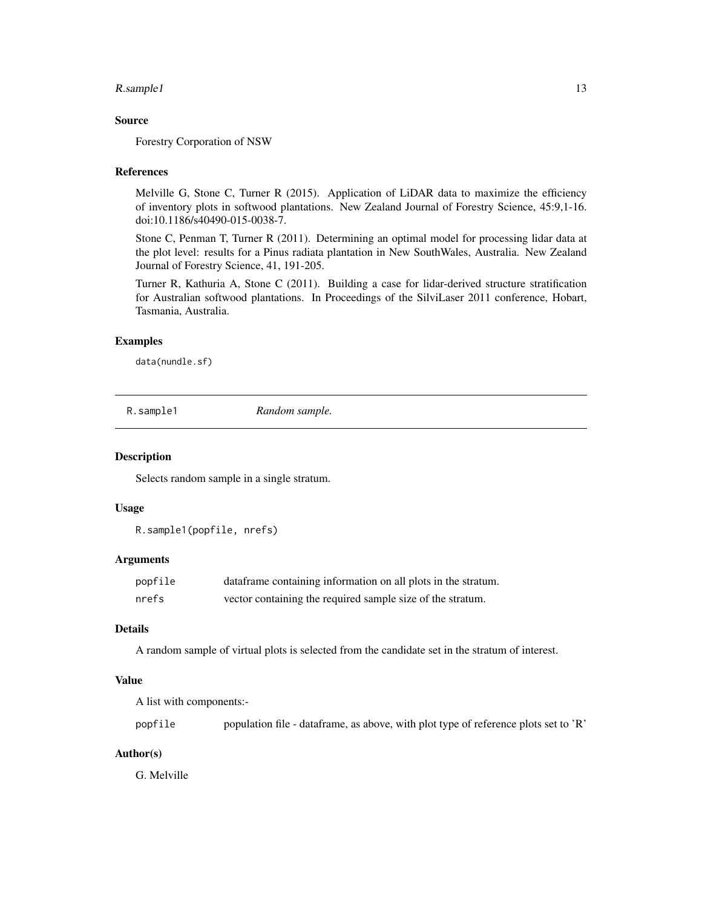# <span id="page-12-0"></span>R.sample1 13

#### Source

Forestry Corporation of NSW

#### References

Melville G, Stone C, Turner R (2015). Application of LiDAR data to maximize the efficiency of inventory plots in softwood plantations. New Zealand Journal of Forestry Science, 45:9,1-16. doi:10.1186/s40490-015-0038-7.

Stone C, Penman T, Turner R (2011). Determining an optimal model for processing lidar data at the plot level: results for a Pinus radiata plantation in New SouthWales, Australia. New Zealand Journal of Forestry Science, 41, 191-205.

Turner R, Kathuria A, Stone C (2011). Building a case for lidar-derived structure stratification for Australian softwood plantations. In Proceedings of the SilviLaser 2011 conference, Hobart, Tasmania, Australia.

#### Examples

data(nundle.sf)

R.sample1 *Random sample.*

#### Description

Selects random sample in a single stratum.

## Usage

R.sample1(popfile, nrefs)

# Arguments

| popfile | data frame containing information on all plots in the stratum. |
|---------|----------------------------------------------------------------|
| nrefs   | vector containing the required sample size of the stratum.     |

# Details

A random sample of virtual plots is selected from the candidate set in the stratum of interest.

#### Value

A list with components:-

popfile population file - dataframe, as above, with plot type of reference plots set to 'R'

# Author(s)

G. Melville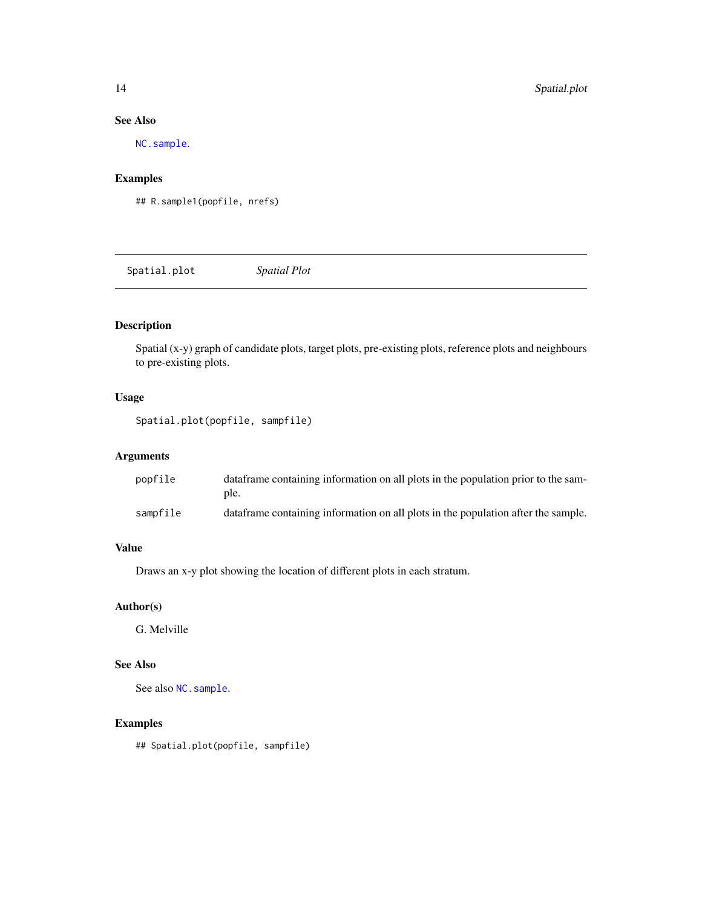# <span id="page-13-0"></span>See Also

[NC.sample](#page-9-1).

# Examples

```
## R.sample1(popfile, nrefs)
```
Spatial.plot *Spatial Plot*

# Description

Spatial (x-y) graph of candidate plots, target plots, pre-existing plots, reference plots and neighbours to pre-existing plots.

# Usage

```
Spatial.plot(popfile, sampfile)
```
# Arguments

| popfile  | data frame containing information on all plots in the population prior to the sam-<br>ple. |
|----------|--------------------------------------------------------------------------------------------|
| sampfile | data frame containing information on all plots in the population after the sample.         |

# Value

Draws an x-y plot showing the location of different plots in each stratum.

# Author(s)

G. Melville

# See Also

See also [NC.sample](#page-9-1).

# Examples

## Spatial.plot(popfile, sampfile)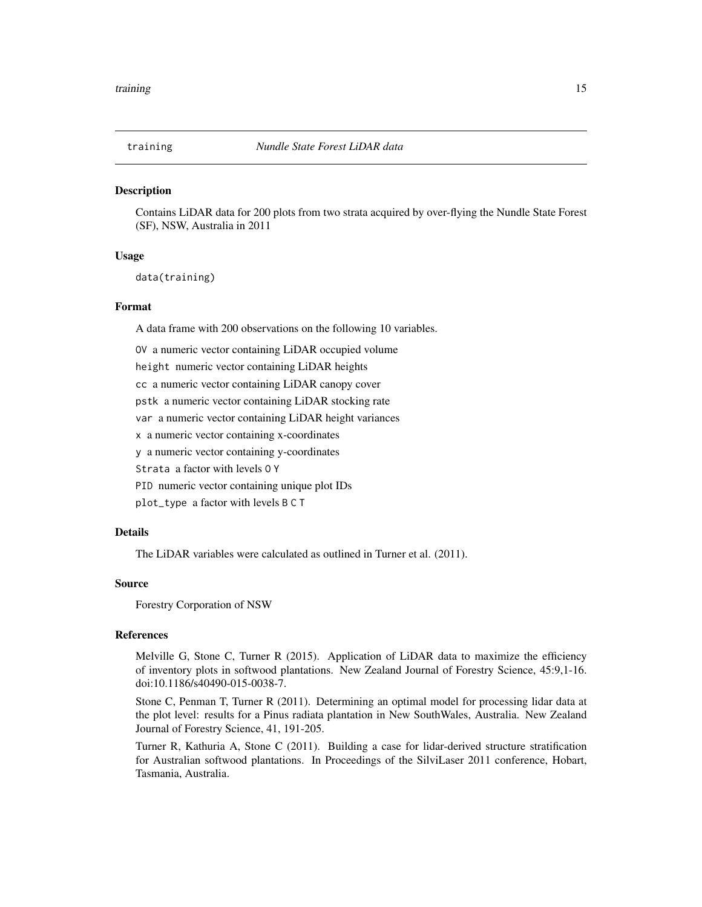<span id="page-14-0"></span>

Contains LiDAR data for 200 plots from two strata acquired by over-flying the Nundle State Forest (SF), NSW, Australia in 2011

### Usage

data(training)

#### Format

A data frame with 200 observations on the following 10 variables.

OV a numeric vector containing LiDAR occupied volume

height numeric vector containing LiDAR heights

cc a numeric vector containing LiDAR canopy cover

pstk a numeric vector containing LiDAR stocking rate

var a numeric vector containing LiDAR height variances

x a numeric vector containing x-coordinates

y a numeric vector containing y-coordinates

Strata a factor with levels O Y

PID numeric vector containing unique plot IDs

plot\_type a factor with levels B C T

### Details

The LiDAR variables were calculated as outlined in Turner et al. (2011).

# Source

Forestry Corporation of NSW

# References

Melville G, Stone C, Turner R (2015). Application of LiDAR data to maximize the efficiency of inventory plots in softwood plantations. New Zealand Journal of Forestry Science, 45:9,1-16. doi:10.1186/s40490-015-0038-7.

Stone C, Penman T, Turner R (2011). Determining an optimal model for processing lidar data at the plot level: results for a Pinus radiata plantation in New SouthWales, Australia. New Zealand Journal of Forestry Science, 41, 191-205.

Turner R, Kathuria A, Stone C (2011). Building a case for lidar-derived structure stratification for Australian softwood plantations. In Proceedings of the SilviLaser 2011 conference, Hobart, Tasmania, Australia.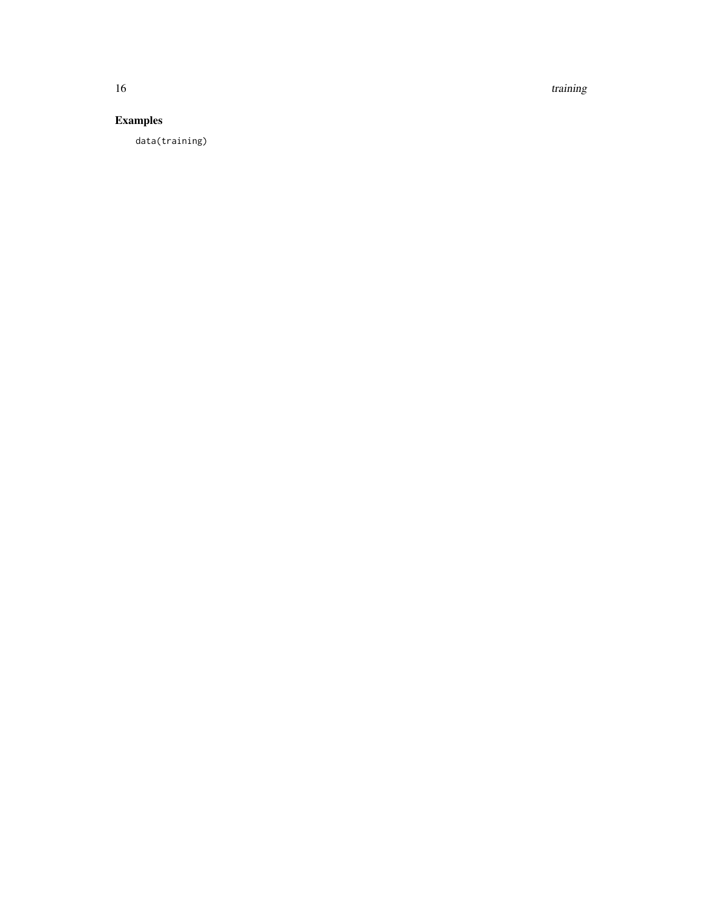16 training the state of the state of the state of the state of the state of the state of the state of the state of the state of the state of the state of the state of the state of the state of the state of the state of th

# Examples

data(training)